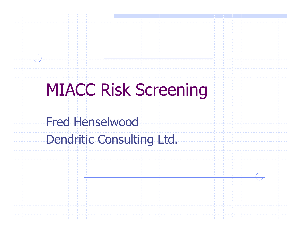# MIACC Risk Screening

Fred Henselwood

Dendritic Consulting Ltd.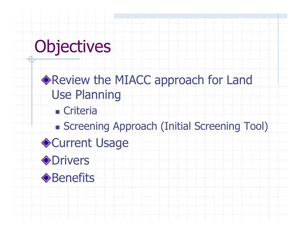# **Objectives**

Review the MIACC approach for Land Use Planningn. **Exercise Criteria**  Screening Approach (Initial Screening Tool) ◆Current Usage **Orivers ◆Benefits**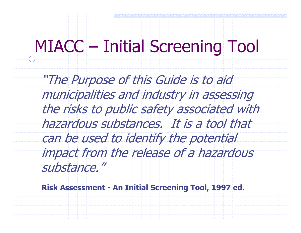### MIACC – Initial Screening Tool

"The Purpose of this Guide is to aid municipalities and industry in assessing the risks to public safety associated with hazardous substances. It is a tool that can be used to identify the potential impact from the release of a hazardous substance."

Risk Assessment - An Initial Screening Tool, 1997 ed.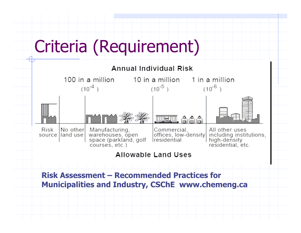# Criteria (Requirement)

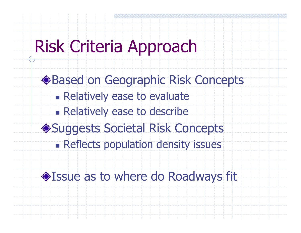## Risk Criteria Approach

Based on Geographic Risk Conceptsn. **Relatively ease to evaluate** n. **Relatively ease to describe** ◆Suggests Societal Risk Concepts Reflects population density issues

#### Issue as to where do Roadways fit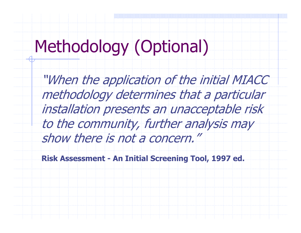# Methodology (Optional)

"When the application of the initial MIACC methodology determines that a particular installation presents an unacceptable risk to the community, further analysis may show there is not a concern."

Risk Assessment - An Initial Screening Tool, 1997 ed.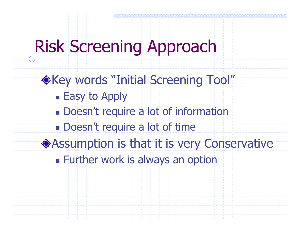# Risk Screening Approach

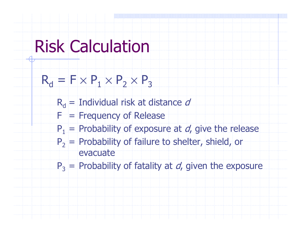### Risk Calculation

Rd $_{\sf d}$  = F  $\times$  P 1×P2×P3

> $\mathsf{R}_{\mathsf{d}}$ d = Individual risk at distance d

- $F = F$ requency of Release
- $\mathsf{P}_1$  $\alpha_1$  = Probability of exposure at  $d$ , give the release
- $P<sub>2</sub>$  $_2$  = Probability of failure to shelter, shield, or  $\epsilon$ evacuate

 $\mathsf{P}_3$  $B_3$  = Probability of fatality at  $d$ , given the exposure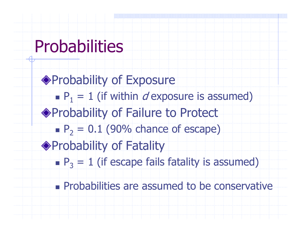# **Probabilities**

◆Probability of Exposure n.  $\blacksquare$  P<sub>1</sub> = 1 (if within *d* exposure is assumed) ◆ Probability of Failure to Protect n.  $P_2 = 0.1$  (90% chance of escape) ◆ Probability of Fatality n.  $\blacksquare$  P<sub>3</sub> = 1 (if escape fails fatality is assumed)

n. **Probabilities are assumed to be conservative**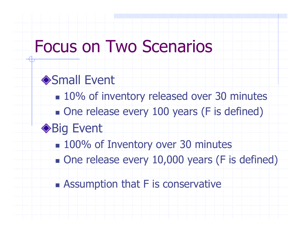### Focus on Two Scenarios

#### **◆Small Event**

- n.  $\blacksquare$  **10% of inventory released over 30 minutes**
- n. **. One release every 100 years (F is defined)**

#### **◆Big Event**

- 100% of Inventory over 30 minutes
- n. **- One release every 10,000 years (F is defined)**
- n. **Examption that F is conservative**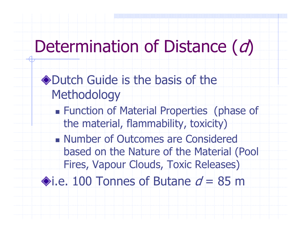## Determination of Distance (d)

#### ◆Dutch Guide is the basis of the **Methodology**

- n. **Function of Material Properties (phase of** the material, flammability, toxicity)
- n. **Number of Outcomes are Considered** based on the Nature of the Material (Pool Fires, Vapour Clouds, Toxic Releases)

i.e. 100 Tonnes of Butane  $d = 85$  m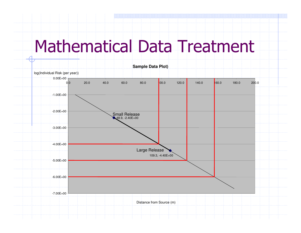## Mathematical Data Treatment

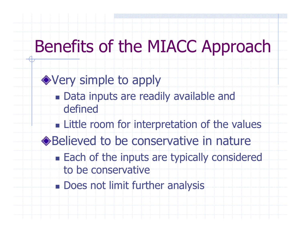### Benefits of the MIACC Approach

◆ Very simple to apply n. **Data inputs are readily available and** definedn. **Example 11 Example 12 Terms** interpretation of the values ◆Believed to be conservative in nature n. **Each of the inputs are typically considered** to be conservative**- Does not limit further analysis**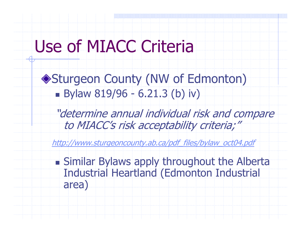## Use of MIACC Criteria

Sturgeon County (NW of Edmonton)n. **Bylaw 819/96 - 6.21.3 (b) iv)** 

"determine annual individual risk and compare to MIACC's risk acceptability criteria;"

http://www.sturgeoncounty.ab.ca/pdf\_files/bylaw\_oct04.pdf

n. **Similar Bylaws apply throughout the Alberta** Industrial Heartland (Edmonton Industrial area)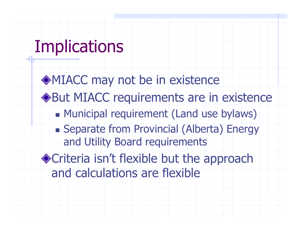# **Implications**

MIACC may not be in existence But MIACC requirements are in existencen. Municipal requirement (Land use bylaws) n. Separate from Provincial (Alberta) Energy and Utility Board requirementsCriteria isn't flexible but the approach and calculations are flexible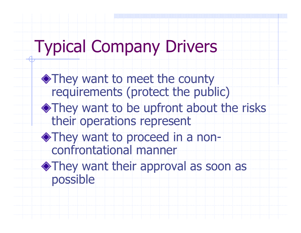# Typical Company Drivers

◆They want to meet the county requirements (protect the public)They want to be upfront about the risks their operations representThey want to proceed in a nonconfrontational mannerThey want their approval as soon as possible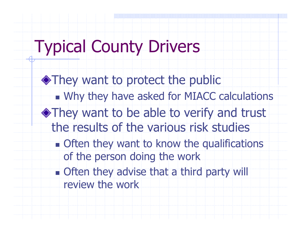## Typical County Drivers

They want to protect the publicn. Why they have asked for MIACC calculations They want to be able to verify and trust the results of the various risk studiesn. **. Often they want to know the qualifications** of the person doing the work**n** Often they advise that a third party will review the work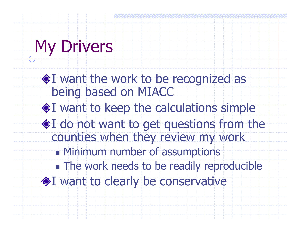# My Drivers

**I** want the work to be recognized as being based on MIACC I want to keep the calculations simple I do not want to get questions from the counties when they review my workn. **Refinimum number of assumptions** n. **. The work needs to be readily reproducible** ◆I want to clearly be conservative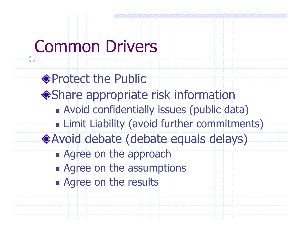### Common Drivers

◆ Protect the Public Share appropriate risk informationT. Avoid confidentially issues (public data) **Example 21 Example 12 Follow Commitments**) **Example 2** Avoid debate (debate equals delays)n. **Exagered on the approach** n. **Exagree on the assumptions** n. Agree on the results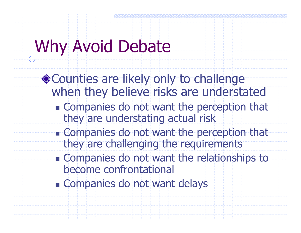# Why Avoid Debate

◆ Counties are likely only to challenge when they believe risks are understated

- n. **Example Companies do not want the perception that** they are understating actual risk
- F. **Companies do not want the perception that** they are challenging the requirements
- n. **Example Companies do not want the relationships to** become confrontational
- n. Companies do not want delays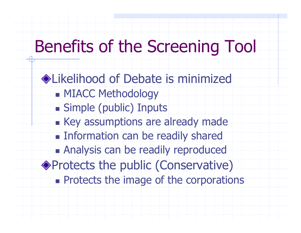## Benefits of the Screening Tool

Likelihood of Debate is minimizedn. **REMIACC Methodology** n. Simple (public) Inputs n. **Executively** Assumptions are already made n. **Example 11 Information can be readily shared** n. Analysis can be readily reproduced Protects the public (Conservative)**Exercise Figure 2** Protects the image of the corporations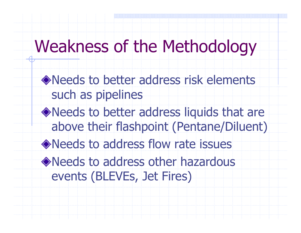### Weakness of the Methodology

Needs to better address risk elements such as pipelines

- Needs to better address liquids that are above their flashpoint (Pentane/Diluent)
- Needs to address flow rate issues

Needs to address other hazardous events (BLEVEs, Jet Fires)